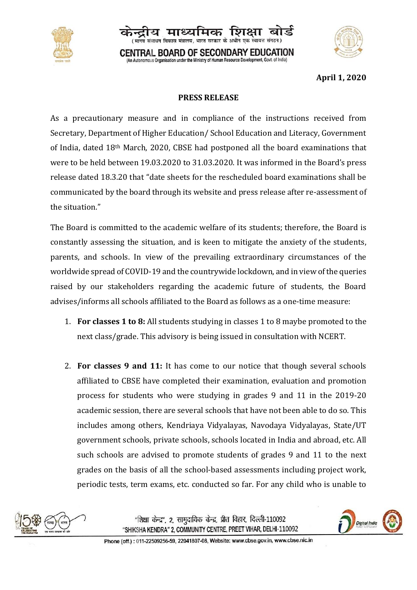



**April 1, 2020**

## **PRESS RELEASE**

**CENTRAL BOARD OF SECONDARY EDUCATION** An Autonomous Organisation under the Ministry of Human Resource Development, Govt. of India)

कार को अधीन गढ़ा स्वायन

As a precautionary measure and in compliance of the instructions received from Secretary, Department of Higher Education/ School Education and Literacy, Government of India, dated 18th March, 2020, CBSE had postponed all the board examinations that were to be held between 19.03.2020 to 31.03.2020. It was informed in the Board's press release dated 18.3.20 that "date sheets for the rescheduled board examinations shall be communicated by the board through its website and press release after re-assessment of the situation."

The Board is committed to the academic welfare of its students; therefore, the Board is constantly assessing the situation, and is keen to mitigate the anxiety of the students, parents, and schools. In view of the prevailing extraordinary circumstances of the worldwide spread of COVID-19 and the countrywide lockdown, and in view of the queries raised by our stakeholders regarding the academic future of students, the Board advises/informs all schools affiliated to the Board as follows as a one-time measure:

- 1. **For classes 1 to 8:** All students studying in classes 1 to 8 maybe promoted to the next class/grade. This advisory is being issued in consultation with NCERT.
- 2. **For classes 9 and 11:** It has come to our notice that though several schools affiliated to CBSE have completed their examination, evaluation and promotion process for students who were studying in grades 9 and 11 in the 2019-20 academic session, there are several schools that have not been able to do so. This includes among others, Kendriaya Vidyalayas, Navodaya Vidyalayas, State/UT government schools, private schools, schools located in India and abroad, etc. All such schools are advised to promote students of grades 9 and 11 to the next grades on the basis of all the school-based assessments including project work, periodic tests, term exams, etc. conducted so far. For any child who is unable to





Phone (off.): 011-22509256-59, 22041807-08, Website: www.cbse.gov.in, www.cbse.nic.in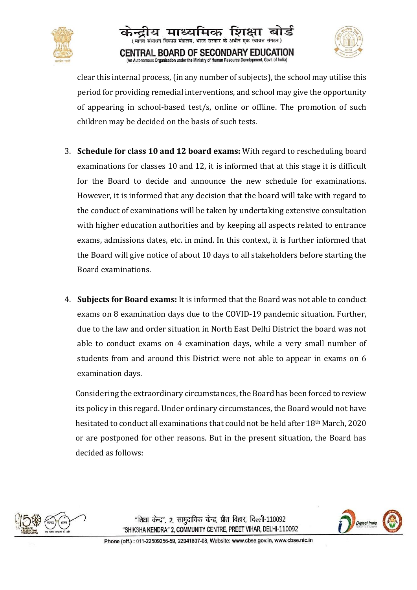





clear this internal process, (in any number of subjects), the school may utilise this period for providing remedial interventions, and school may give the opportunity of appearing in school-based test/s, online or offline. The promotion of such children may be decided on the basis of such tests.

- 3. **Schedule for class 10 and 12 board exams:** With regard to rescheduling board examinations for classes 10 and 12, it is informed that at this stage it is difficult for the Board to decide and announce the new schedule for examinations. However, it is informed that any decision that the board will take with regard to the conduct of examinations will be taken by undertaking extensive consultation with higher education authorities and by keeping all aspects related to entrance exams, admissions dates, etc. in mind. In this context, it is further informed that the Board will give notice of about 10 days to all stakeholders before starting the Board examinations.
- 4. **Subjects for Board exams:** It is informed that the Board was not able to conduct exams on 8 examination days due to the COVID-19 pandemic situation. Further, due to the law and order situation in North East Delhi District the board was not able to conduct exams on 4 examination days, while a very small number of students from and around this District were not able to appear in exams on 6 examination days.

Considering the extraordinary circumstances, the Board has been forced to review its policy in this regard. Under ordinary circumstances, the Board would not have hesitated to conduct all examinations that could not be held after 18th March, 2020 or are postponed for other reasons. But in the present situation, the Board has decided as follows:



"शिक्षा केन्द्र", 2, सामुदायिक केन्द्र, प्रीत विहार, दिल्ली-110092 "SHIKSHA KENDRA" 2, COMMUNITY CENTRE, PREET VIHAR, DELHI-110092

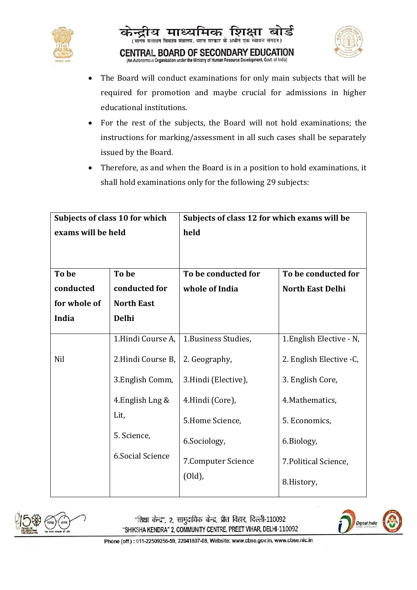





- The Board will conduct examinations for only main subjects that will be required for promotion and maybe crucial for admissions in higher educational institutions.
- For the rest of the subjects, the Board will not hold examinations; the instructions for marking/assessment in all such cases shall be separately issued by the Board.
- Therefore, as and when the Board is in a position to hold examinations, it shall hold examinations only for the following 29 subjects:

| Subjects of class 10 for which |                         | Subjects of class 12 for which exams will be |                          |
|--------------------------------|-------------------------|----------------------------------------------|--------------------------|
| exams will be held             |                         | held                                         |                          |
|                                |                         |                                              |                          |
|                                |                         |                                              |                          |
| To be                          | To be                   | To be conducted for                          | To be conducted for      |
| conducted                      | conducted for           | whole of India                               | <b>North East Delhi</b>  |
| for whole of                   | <b>North East</b>       |                                              |                          |
| India                          | <b>Delhi</b>            |                                              |                          |
|                                |                         |                                              |                          |
|                                | 1.Hindi Course A,       | 1. Business Studies,                         | 1. English Elective - N, |
| Nil                            | 2.Hindi Course B,       | 2. Geography,                                | 2. English Elective -C,  |
|                                | 3. English Comm,        | 3.Hindi (Elective),                          | 3. English Core,         |
|                                | 4. English Lng &        | 4.Hindi (Core),                              | 4. Mathematics,          |
|                                | Lit,                    | 5.Home Science,                              | 5. Economics,            |
|                                | 5. Science,             | 6.Sociology,                                 | 6.Biology,               |
|                                | <b>6.Social Science</b> | 7. Computer Science                          | 7. Political Science,    |
|                                |                         | (Old),                                       | 8.History,               |



"शिक्षा केन्द्र", 2, सामुदायिक केन्द्र, प्रीत विहार, दिल्ली-110092 "SHIKSHA KENDRA" 2, COMMUNITY CENTRE, PREET VIHAR, DELHI-110092



Phone (off.): 011-22509256-59, 22041807-08, Website: www.cbse.gov.in, www.cbse.nic.in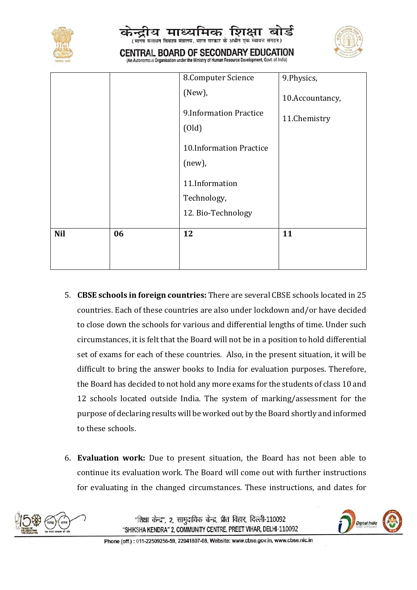|            |    | कन्द्राय माध्यामक ाशक्षा बाड<br>(मानव संसाधन विकास मंत्रालय, भारत सरकार के अधीन एक स्वायत्त संगठन)<br>CENTRAL BOARD OF SECONDARY EDUCATION<br>(An Autonomous Organisation under the Ministry of Human Resource Development, Govt. of India) |                 |
|------------|----|---------------------------------------------------------------------------------------------------------------------------------------------------------------------------------------------------------------------------------------------|-----------------|
|            |    | 8. Computer Science                                                                                                                                                                                                                         | 9.Physics,      |
|            |    | $(New)$ ,                                                                                                                                                                                                                                   | 10.Accountancy, |
|            |    | 9. Information Practice<br>(Old)                                                                                                                                                                                                            | 11.Chemistry    |
|            |    | 10.Information Practice<br>(new),                                                                                                                                                                                                           |                 |
|            |    | 11.Information                                                                                                                                                                                                                              |                 |
|            |    | Technology,                                                                                                                                                                                                                                 |                 |
|            |    | 12. Bio-Technology                                                                                                                                                                                                                          |                 |
| <b>Nil</b> | 06 | 12                                                                                                                                                                                                                                          | 11              |

- 5. **CBSE schools in foreign countries:** There are several CBSE schools located in 25 countries. Each of these countries are also under lockdown and/or have decided to close down the schools for various and differential lengths of time. Under such circumstances, it is felt that the Board will not be in a position to hold differential set of exams for each of these countries. Also, in the present situation, it will be difficult to bring the answer books to India for evaluation purposes. Therefore, the Board has decided to not hold any more exams for the students of class 10 and 12 schools located outside India. The system of marking/assessment for the purpose of declaring results will be worked out by the Board shortly and informed to these schools.
- 6. **Evaluation work:** Due to present situation, the Board has not been able to continue its evaluation work. The Board will come out with further instructions for evaluating in the changed circumstances. These instructions, and dates for



"शिक्षा केन्द्र", 2. सामुदायिक केन्द्र, प्रीत विहार, दिल्ली-110092 "SHIKSHA KENDRA" 2, COMMUNITY CENTRE, PREET VIHAR, DELHI-110092